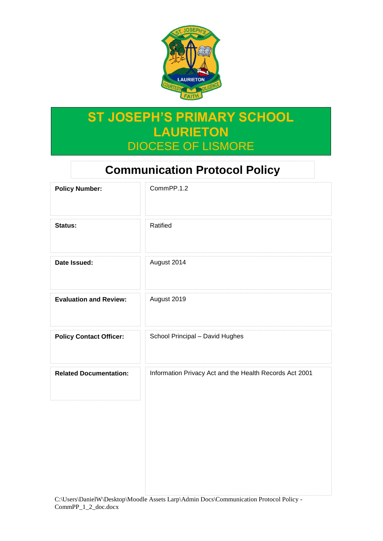

# **ST JOSEPH'S PRIMARY SCHOOL LAURIETON** DIOCESE OF LISMORE

## **Communication Protocol Policy**

| <b>Policy Number:</b>          | CommPP.1.2                                              |
|--------------------------------|---------------------------------------------------------|
| Status:                        | Ratified                                                |
| Date Issued:                   | August 2014                                             |
| <b>Evaluation and Review:</b>  | August 2019                                             |
| <b>Policy Contact Officer:</b> | School Principal - David Hughes                         |
| <b>Related Documentation:</b>  | Information Privacy Act and the Health Records Act 2001 |